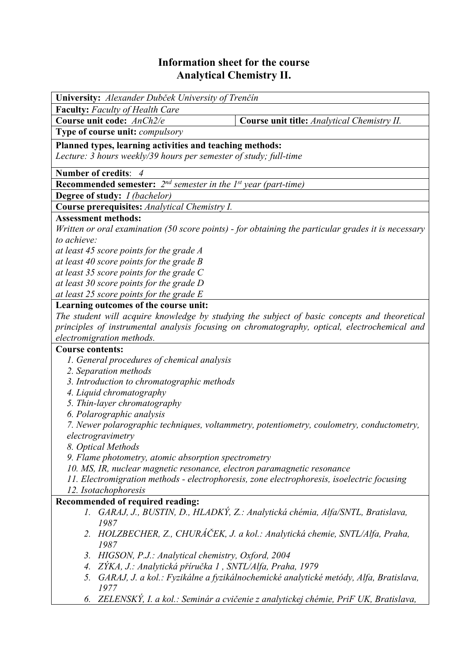## **Information sheet for the course Analytical Chemistry II.**

| University: Alexander Dubček University of Trenčín                                                                                                                                           |                                                                                                               |  |  |  |  |
|----------------------------------------------------------------------------------------------------------------------------------------------------------------------------------------------|---------------------------------------------------------------------------------------------------------------|--|--|--|--|
| <b>Faculty:</b> Faculty of Health Care                                                                                                                                                       |                                                                                                               |  |  |  |  |
| Course unit code: AnCh2/e                                                                                                                                                                    | Course unit title: Analytical Chemistry II.                                                                   |  |  |  |  |
| Type of course unit: compulsory                                                                                                                                                              |                                                                                                               |  |  |  |  |
| Planned types, learning activities and teaching methods:                                                                                                                                     |                                                                                                               |  |  |  |  |
| Lecture: 3 hours weekly/39 hours per semester of study; full-time                                                                                                                            |                                                                                                               |  |  |  |  |
|                                                                                                                                                                                              |                                                                                                               |  |  |  |  |
| <b>Number of credits:</b>                                                                                                                                                                    |                                                                                                               |  |  |  |  |
| <b>Recommended semester:</b> $2^{nd}$ semester in the 1st year (part-time)                                                                                                                   |                                                                                                               |  |  |  |  |
| <b>Degree of study:</b> <i>I (bachelor)</i>                                                                                                                                                  |                                                                                                               |  |  |  |  |
| Course prerequisites: Analytical Chemistry I.                                                                                                                                                |                                                                                                               |  |  |  |  |
| <b>Assessment methods:</b>                                                                                                                                                                   |                                                                                                               |  |  |  |  |
|                                                                                                                                                                                              | Written or oral examination $(50 \text{ score points})$ - for obtaining the particular grades it is necessary |  |  |  |  |
| to achieve:                                                                                                                                                                                  |                                                                                                               |  |  |  |  |
| at least 45 score points for the grade A                                                                                                                                                     |                                                                                                               |  |  |  |  |
| at least 40 score points for the grade B                                                                                                                                                     |                                                                                                               |  |  |  |  |
| at least 35 score points for the grade $C$                                                                                                                                                   |                                                                                                               |  |  |  |  |
| at least 30 score points for the grade D                                                                                                                                                     |                                                                                                               |  |  |  |  |
| at least 25 score points for the grade E<br>Learning outcomes of the course unit:                                                                                                            |                                                                                                               |  |  |  |  |
|                                                                                                                                                                                              |                                                                                                               |  |  |  |  |
| The student will acquire knowledge by studying the subject of basic concepts and theoretical<br>principles of instrumental analysis focusing on chromatography, optical, electrochemical and |                                                                                                               |  |  |  |  |
| electromigration methods.                                                                                                                                                                    |                                                                                                               |  |  |  |  |
| <b>Course contents:</b>                                                                                                                                                                      |                                                                                                               |  |  |  |  |
| 1. General procedures of chemical analysis                                                                                                                                                   |                                                                                                               |  |  |  |  |
| 2. Separation methods                                                                                                                                                                        |                                                                                                               |  |  |  |  |
| 3. Introduction to chromatographic methods                                                                                                                                                   |                                                                                                               |  |  |  |  |
| 4. Liquid chromatography                                                                                                                                                                     |                                                                                                               |  |  |  |  |
| 5. Thin-layer chromatography                                                                                                                                                                 |                                                                                                               |  |  |  |  |
| 6. Polarographic analysis                                                                                                                                                                    |                                                                                                               |  |  |  |  |
| 7. Newer polarographic techniques, voltammetry, potentiometry, coulometry, conductometry,                                                                                                    |                                                                                                               |  |  |  |  |
| electrogravimetry                                                                                                                                                                            |                                                                                                               |  |  |  |  |
| 8. Optical Methods                                                                                                                                                                           |                                                                                                               |  |  |  |  |
| 9. Flame photometry, atomic absorption spectrometry                                                                                                                                          |                                                                                                               |  |  |  |  |
| 10. MS, IR, nuclear magnetic resonance, electron paramagnetic resonance                                                                                                                      |                                                                                                               |  |  |  |  |
|                                                                                                                                                                                              | 11. Electromigration methods - electrophoresis, zone electrophoresis, isoelectric focusing                    |  |  |  |  |
| 12. Isotachophoresis                                                                                                                                                                         |                                                                                                               |  |  |  |  |
| Recommended of required reading:                                                                                                                                                             |                                                                                                               |  |  |  |  |
| Ι.                                                                                                                                                                                           | GARAJ, J., BUSTIN, D., HLADKÝ, Z.: Analytická chémia, Alfa/SNTL, Bratislava,                                  |  |  |  |  |
| 1987                                                                                                                                                                                         |                                                                                                               |  |  |  |  |
|                                                                                                                                                                                              | 2. HOLZBECHER, Z., CHURÁČEK, J. a kol.: Analytická chemie, SNTL/Alfa, Praha,                                  |  |  |  |  |
| 1987                                                                                                                                                                                         |                                                                                                               |  |  |  |  |
| 3. HIGSON, P.J.: Analytical chemistry, Oxford, 2004                                                                                                                                          |                                                                                                               |  |  |  |  |
| 4. ZÝKA, J.: Analytická příručka 1, SNTL/Alfa, Praha, 1979                                                                                                                                   |                                                                                                               |  |  |  |  |
| 5. GARAJ, J. a kol.: Fyzikálne a fyzikálnochemické analytické metódy, Alfa, Bratislava,                                                                                                      |                                                                                                               |  |  |  |  |
| 1977                                                                                                                                                                                         |                                                                                                               |  |  |  |  |
|                                                                                                                                                                                              | 6. ZELENSKÝ, I. a kol.: Seminár a cvičenie z analytickej chémie, PriF UK, Bratislava,                         |  |  |  |  |